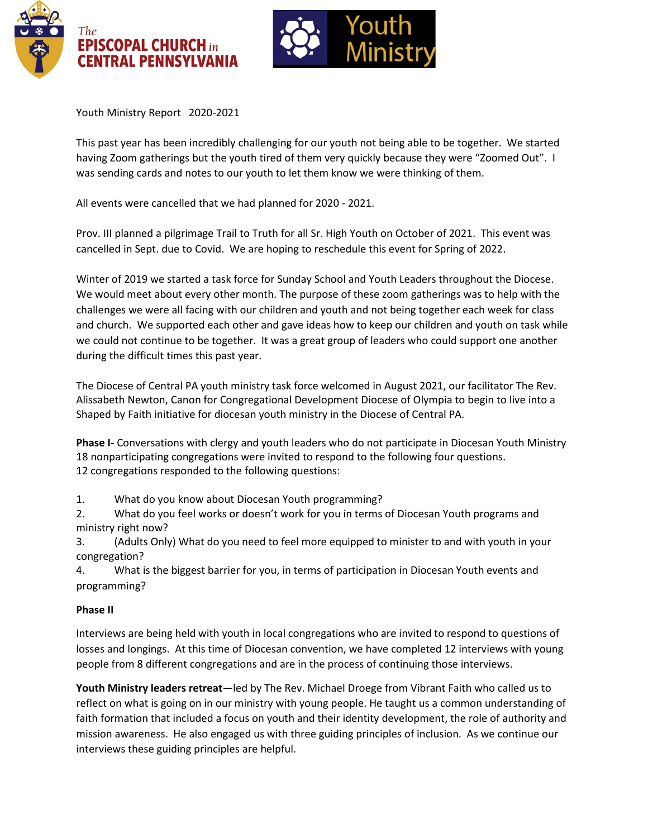



Youth Ministry Report 2020-2021

This past year has been incredibly challenging for our youth not being able to be together. We started having Zoom gatherings but the youth tired of them very quickly because they were "Zoomed Out". I was sending cards and notes to our youth to let them know we were thinking of them.

All events were cancelled that we had planned for 2020 - 2021.

Prov. III planned a pilgrimage Trail to Truth for all Sr. High Youth on October of 2021. This event was cancelled in Sept. due to Covid. We are hoping to reschedule this event for Spring of 2022.

Winter of 2019 we started a task force for Sunday School and Youth Leaders throughout the Diocese. We would meet about every other month. The purpose of these zoom gatherings was to help with the challenges we were all facing with our children and youth and not being together each week for class and church. We supported each other and gave ideas how to keep our children and youth on task while we could not continue to be together. It was a great group of leaders who could support one another during the difficult times this past year.

The Diocese of Central PA youth ministry task force welcomed in August 2021, our facilitator The Rev. Alissabeth Newton, Canon for Congregational Development Diocese of Olympia to begin to live into a Shaped by Faith initiative for diocesan youth ministry in the Diocese of Central PA.

**Phase I-** Conversations with clergy and youth leaders who do not participate in Diocesan Youth Ministry 18 nonparticipating congregations were invited to respond to the following four questions. 12 congregations responded to the following questions:

1. What do you know about Diocesan Youth programming?

2. What do you feel works or doesn't work for you in terms of Diocesan Youth programs and ministry right now?

3. (Adults Only) What do you need to feel more equipped to minister to and with youth in your congregation?

4. What is the biggest barrier for you, in terms of participation in Diocesan Youth events and programming?

## **Phase II**

Interviews are being held with youth in local congregations who are invited to respond to questions of losses and longings. At this time of Diocesan convention, we have completed 12 interviews with young people from 8 different congregations and are in the process of continuing those interviews.

**Youth Ministry leaders retreat**—led by The Rev. Michael Droege from Vibrant Faith who called us to reflect on what is going on in our ministry with young people. He taught us a common understanding of faith formation that included a focus on youth and their identity development, the role of authority and mission awareness. He also engaged us with three guiding principles of inclusion. As we continue our interviews these guiding principles are helpful.